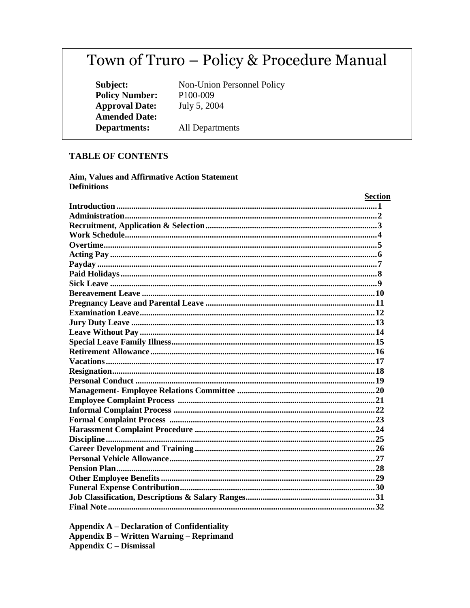# Town of Truro - Policy & Procedure Manual

Subject: **Policy Number: Approval Date: Amended Date: Departments:** 

Non-Union Personnel Policy P100-009 July 5, 2004

All Departments

#### **TABLE OF CONTENTS**

Aim, Values and Affirmative Action Statement **Definitions** 

| <b>Section</b> |
|----------------|
|                |
|                |
|                |
|                |
|                |
|                |
|                |
|                |
|                |
|                |
|                |
|                |
|                |
|                |
|                |
|                |
|                |
|                |
|                |
|                |
|                |
|                |
|                |
|                |
|                |
|                |
|                |
|                |
|                |
|                |
|                |
|                |
|                |

**Appendix A - Declaration of Confidentiality Appendix B – Written Warning – Reprimand Appendix C – Dismissal**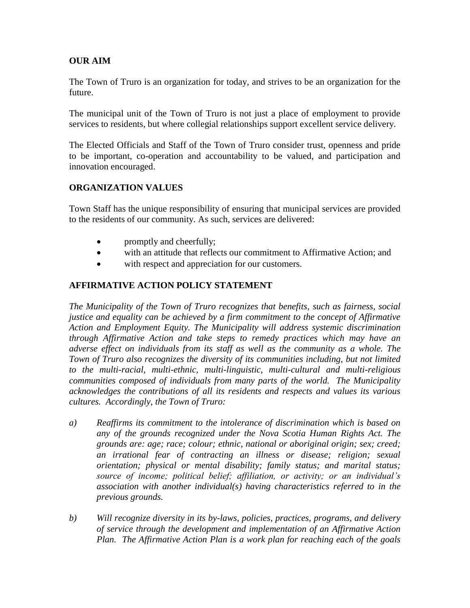# **OUR AIM**

The Town of Truro is an organization for today, and strives to be an organization for the future.

The municipal unit of the Town of Truro is not just a place of employment to provide services to residents, but where collegial relationships support excellent service delivery.

The Elected Officials and Staff of the Town of Truro consider trust, openness and pride to be important, co-operation and accountability to be valued, and participation and innovation encouraged.

# **ORGANIZATION VALUES**

Town Staff has the unique responsibility of ensuring that municipal services are provided to the residents of our community. As such, services are delivered:

- promptly and cheerfully;
- with an attitude that reflects our commitment to Affirmative Action; and
- with respect and appreciation for our customers.

# **AFFIRMATIVE ACTION POLICY STATEMENT**

*The Municipality of the Town of Truro recognizes that benefits, such as fairness, social justice and equality can be achieved by a firm commitment to the concept of Affirmative Action and Employment Equity. The Municipality will address systemic discrimination through Affirmative Action and take steps to remedy practices which may have an adverse effect on individuals from its staff as well as the community as a whole. The Town of Truro also recognizes the diversity of its communities including, but not limited to the multi-racial, multi-ethnic, multi-linguistic, multi-cultural and multi-religious communities composed of individuals from many parts of the world. The Municipality acknowledges the contributions of all its residents and respects and values its various cultures. Accordingly, the Town of Truro:*

- *a) Reaffirms its commitment to the intolerance of discrimination which is based on any of the grounds recognized under the Nova Scotia Human Rights Act. The grounds are: age; race; colour; ethnic, national or aboriginal origin; sex; creed; an irrational fear of contracting an illness or disease; religion; sexual orientation; physical or mental disability; family status; and marital status; source of income; political belief; affiliation, or activity; or an individual's association with another individual(s) having characteristics referred to in the previous grounds.*
- *b) Will recognize diversity in its by-laws, policies, practices, programs, and delivery of service through the development and implementation of an Affirmative Action Plan. The Affirmative Action Plan is a work plan for reaching each of the goals*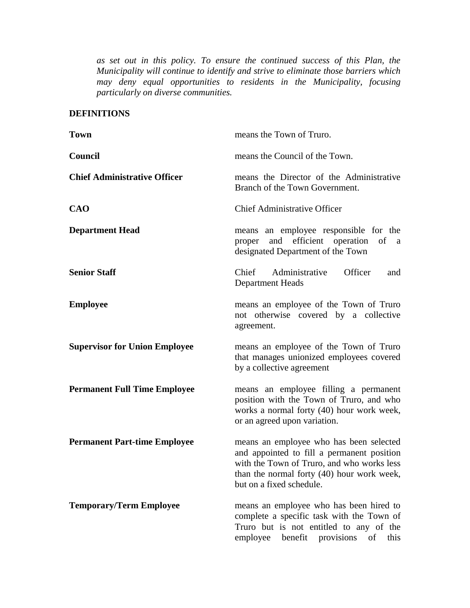*as set out in this policy. To ensure the continued success of this Plan, the Municipality will continue to identify and strive to eliminate those barriers which may deny equal opportunities to residents in the Municipality, focusing particularly on diverse communities.*

# **DEFINITIONS**

| <b>Town</b>                          | means the Town of Truro.                                                                                                                                                                                      |
|--------------------------------------|---------------------------------------------------------------------------------------------------------------------------------------------------------------------------------------------------------------|
| Council                              | means the Council of the Town.                                                                                                                                                                                |
| <b>Chief Administrative Officer</b>  | means the Director of the Administrative<br>Branch of the Town Government.                                                                                                                                    |
| <b>CAO</b>                           | <b>Chief Administrative Officer</b>                                                                                                                                                                           |
| <b>Department Head</b>               | means an employee responsible for the<br>efficient operation of a<br>and<br>proper<br>designated Department of the Town                                                                                       |
| <b>Senior Staff</b>                  | Chief<br>Administrative<br>Officer<br>and<br><b>Department Heads</b>                                                                                                                                          |
| <b>Employee</b>                      | means an employee of the Town of Truro<br>not otherwise covered by a collective<br>agreement.                                                                                                                 |
| <b>Supervisor for Union Employee</b> | means an employee of the Town of Truro<br>that manages unionized employees covered<br>by a collective agreement                                                                                               |
| <b>Permanent Full Time Employee</b>  | means an employee filling a permanent<br>position with the Town of Truro, and who<br>works a normal forty (40) hour work week,<br>or an agreed upon variation.                                                |
| <b>Permanent Part-time Employee</b>  | means an employee who has been selected<br>and appointed to fill a permanent position<br>with the Town of Truro, and who works less<br>than the normal forty (40) hour work week,<br>but on a fixed schedule. |
| <b>Temporary/Term Employee</b>       | means an employee who has been hired to<br>complete a specific task with the Town of<br>Truro but is not entitled to any of the<br>employee benefit provisions<br>of<br>this                                  |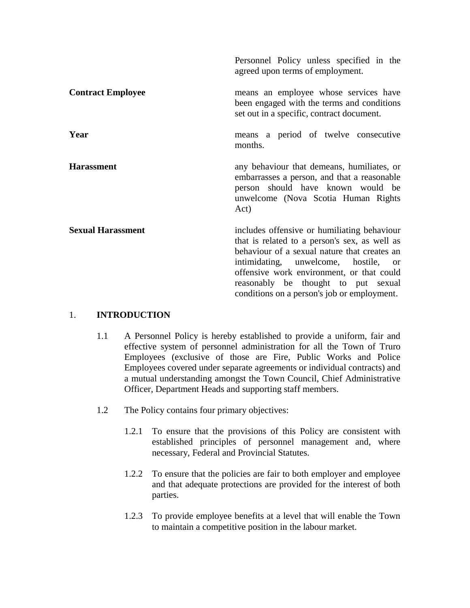|                          | Personnel Policy unless specified in the<br>agreed upon terms of employment.                                                                                                                                                                                                                                            |  |
|--------------------------|-------------------------------------------------------------------------------------------------------------------------------------------------------------------------------------------------------------------------------------------------------------------------------------------------------------------------|--|
| <b>Contract Employee</b> | means an employee whose services have<br>been engaged with the terms and conditions<br>set out in a specific, contract document.                                                                                                                                                                                        |  |
| Year                     | means a period of twelve consecutive<br>months.                                                                                                                                                                                                                                                                         |  |
| <b>Harassment</b>        | any behaviour that demeans, humiliates, or<br>embarrasses a person, and that a reasonable<br>person should have known would be<br>unwelcome (Nova Scotia Human Rights<br>Act)                                                                                                                                           |  |
| <b>Sexual Harassment</b> | includes offensive or humiliating behaviour<br>that is related to a person's sex, as well as<br>behaviour of a sexual nature that creates an<br>intimidating, unwelcome, hostile, or<br>offensive work environment, or that could<br>reasonably be thought to put sexual<br>conditions on a person's job or employment. |  |

## 1. **INTRODUCTION**

- 1.1 A Personnel Policy is hereby established to provide a uniform, fair and effective system of personnel administration for all the Town of Truro Employees (exclusive of those are Fire, Public Works and Police Employees covered under separate agreements or individual contracts) and a mutual understanding amongst the Town Council, Chief Administrative Officer, Department Heads and supporting staff members.
- 1.2 The Policy contains four primary objectives:
	- 1.2.1 To ensure that the provisions of this Policy are consistent with established principles of personnel management and, where necessary, Federal and Provincial Statutes.
	- 1.2.2 To ensure that the policies are fair to both employer and employee and that adequate protections are provided for the interest of both parties.
	- 1.2.3 To provide employee benefits at a level that will enable the Town to maintain a competitive position in the labour market.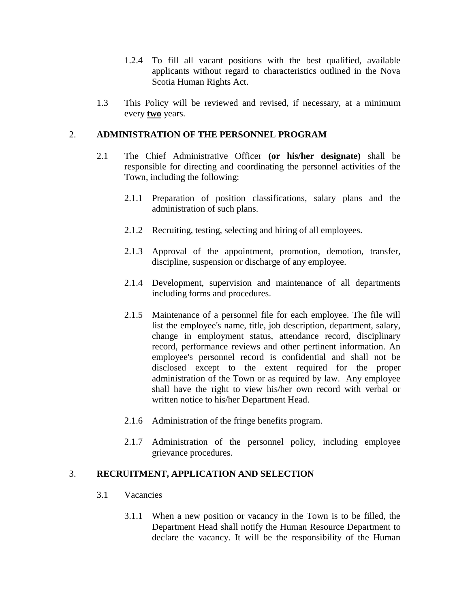- 1.2.4 To fill all vacant positions with the best qualified, available applicants without regard to characteristics outlined in the Nova Scotia Human Rights Act.
- 1.3 This Policy will be reviewed and revised, if necessary, at a minimum every **two** years.

## 2. **ADMINISTRATION OF THE PERSONNEL PROGRAM**

- 2.1 The Chief Administrative Officer **(or his/her designate)** shall be responsible for directing and coordinating the personnel activities of the Town, including the following:
	- 2.1.1 Preparation of position classifications, salary plans and the administration of such plans.
	- 2.1.2 Recruiting, testing, selecting and hiring of all employees.
	- 2.1.3 Approval of the appointment, promotion, demotion, transfer, discipline, suspension or discharge of any employee.
	- 2.1.4 Development, supervision and maintenance of all departments including forms and procedures.
	- 2.1.5 Maintenance of a personnel file for each employee. The file will list the employee's name, title, job description, department, salary, change in employment status, attendance record, disciplinary record, performance reviews and other pertinent information. An employee's personnel record is confidential and shall not be disclosed except to the extent required for the proper administration of the Town or as required by law. Any employee shall have the right to view his/her own record with verbal or written notice to his/her Department Head.
	- 2.1.6 Administration of the fringe benefits program.
	- 2.1.7 Administration of the personnel policy, including employee grievance procedures.

## 3. **RECRUITMENT, APPLICATION AND SELECTION**

- 3.1 Vacancies
	- 3.1.1 When a new position or vacancy in the Town is to be filled, the Department Head shall notify the Human Resource Department to declare the vacancy. It will be the responsibility of the Human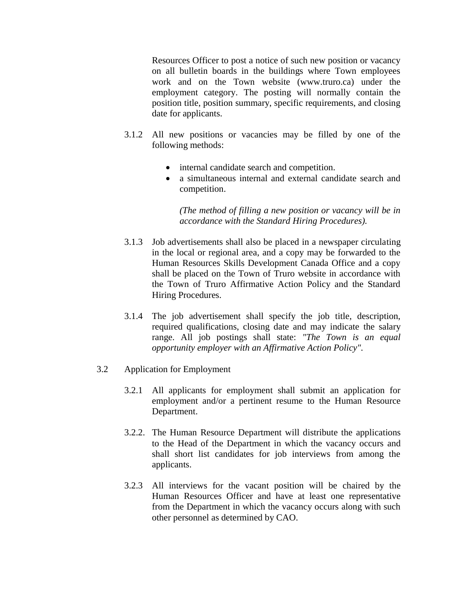Resources Officer to post a notice of such new position or vacancy on all bulletin boards in the buildings where Town employees work and on the Town website (www.truro.ca) under the employment category. The posting will normally contain the position title, position summary, specific requirements, and closing date for applicants.

- 3.1.2 All new positions or vacancies may be filled by one of the following methods:
	- internal candidate search and competition.
	- a simultaneous internal and external candidate search and competition.

*(The method of filling a new position or vacancy will be in accordance with the Standard Hiring Procedures).*

- 3.1.3 Job advertisements shall also be placed in a newspaper circulating in the local or regional area, and a copy may be forwarded to the Human Resources Skills Development Canada Office and a copy shall be placed on the Town of Truro website in accordance with the Town of Truro Affirmative Action Policy and the Standard Hiring Procedures.
- 3.1.4 The job advertisement shall specify the job title, description, required qualifications, closing date and may indicate the salary range. All job postings shall state: *"The Town is an equal opportunity employer with an Affirmative Action Policy".*
- 3.2 Application for Employment
	- 3.2.1 All applicants for employment shall submit an application for employment and/or a pertinent resume to the Human Resource Department.
	- 3.2.2. The Human Resource Department will distribute the applications to the Head of the Department in which the vacancy occurs and shall short list candidates for job interviews from among the applicants.
	- 3.2.3 All interviews for the vacant position will be chaired by the Human Resources Officer and have at least one representative from the Department in which the vacancy occurs along with such other personnel as determined by CAO.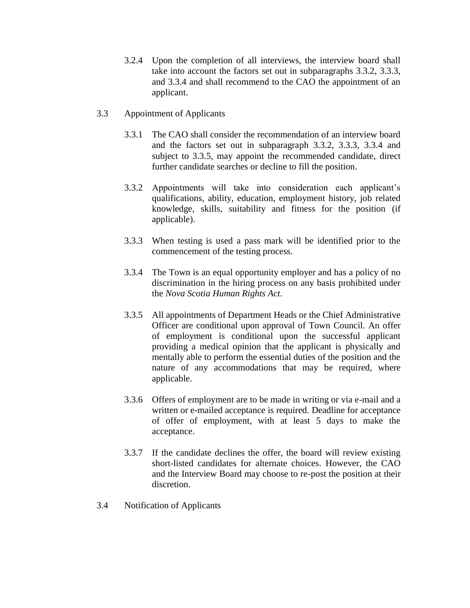- 3.2.4 Upon the completion of all interviews, the interview board shall take into account the factors set out in subparagraphs 3.3.2, 3.3.3, and 3.3.4 and shall recommend to the CAO the appointment of an applicant.
- 3.3 Appointment of Applicants
	- 3.3.1 The CAO shall consider the recommendation of an interview board and the factors set out in subparagraph 3.3.2, 3.3.3, 3.3.4 and subject to 3.3.5, may appoint the recommended candidate, direct further candidate searches or decline to fill the position.
	- 3.3.2 Appointments will take into consideration each applicant's qualifications, ability, education, employment history, job related knowledge, skills, suitability and fitness for the position (if applicable).
	- 3.3.3 When testing is used a pass mark will be identified prior to the commencement of the testing process.
	- 3.3.4 The Town is an equal opportunity employer and has a policy of no discrimination in the hiring process on any basis prohibited under the *Nova Scotia Human Rights Act*.
	- 3.3.5 All appointments of Department Heads or the Chief Administrative Officer are conditional upon approval of Town Council. An offer of employment is conditional upon the successful applicant providing a medical opinion that the applicant is physically and mentally able to perform the essential duties of the position and the nature of any accommodations that may be required, where applicable.
	- 3.3.6 Offers of employment are to be made in writing or via e-mail and a written or e-mailed acceptance is required. Deadline for acceptance of offer of employment, with at least 5 days to make the acceptance.
	- 3.3.7 If the candidate declines the offer, the board will review existing short-listed candidates for alternate choices. However, the CAO and the Interview Board may choose to re-post the position at their discretion.
- 3.4 Notification of Applicants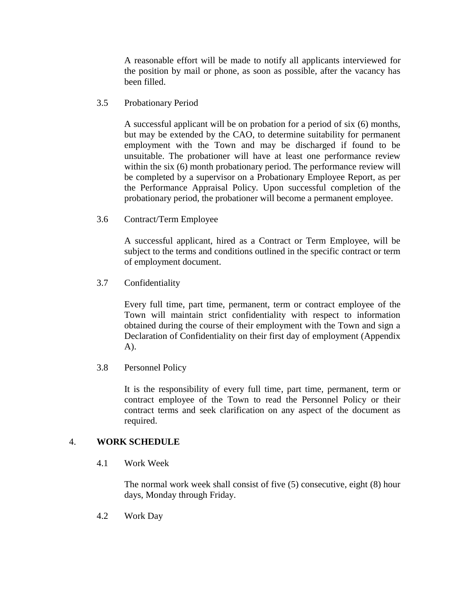A reasonable effort will be made to notify all applicants interviewed for the position by mail or phone, as soon as possible, after the vacancy has been filled.

3.5 Probationary Period

A successful applicant will be on probation for a period of six (6) months, but may be extended by the CAO, to determine suitability for permanent employment with the Town and may be discharged if found to be unsuitable. The probationer will have at least one performance review within the six (6) month probationary period. The performance review will be completed by a supervisor on a Probationary Employee Report, as per the Performance Appraisal Policy. Upon successful completion of the probationary period, the probationer will become a permanent employee.

3.6 Contract/Term Employee

A successful applicant, hired as a Contract or Term Employee, will be subject to the terms and conditions outlined in the specific contract or term of employment document.

3.7 Confidentiality

Every full time, part time, permanent, term or contract employee of the Town will maintain strict confidentiality with respect to information obtained during the course of their employment with the Town and sign a Declaration of Confidentiality on their first day of employment (Appendix A).

3.8 Personnel Policy

It is the responsibility of every full time, part time, permanent, term or contract employee of the Town to read the Personnel Policy or their contract terms and seek clarification on any aspect of the document as required.

## 4. **WORK SCHEDULE**

4.1 Work Week

The normal work week shall consist of five (5) consecutive, eight (8) hour days, Monday through Friday.

4.2 Work Day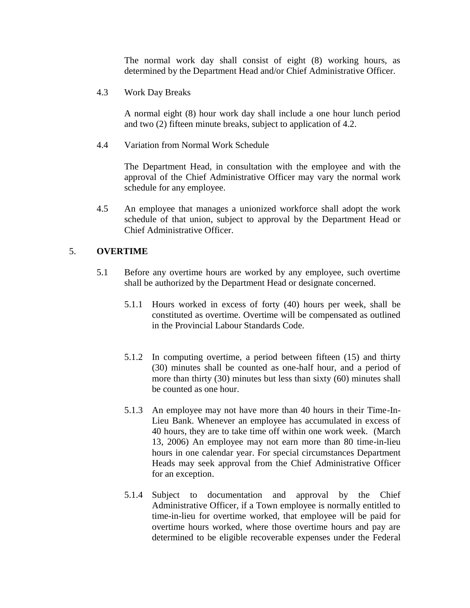The normal work day shall consist of eight (8) working hours, as determined by the Department Head and/or Chief Administrative Officer.

4.3 Work Day Breaks

A normal eight (8) hour work day shall include a one hour lunch period and two (2) fifteen minute breaks, subject to application of 4.2.

4.4 Variation from Normal Work Schedule

The Department Head, in consultation with the employee and with the approval of the Chief Administrative Officer may vary the normal work schedule for any employee.

4.5 An employee that manages a unionized workforce shall adopt the work schedule of that union, subject to approval by the Department Head or Chief Administrative Officer.

## 5. **OVERTIME**

- 5.1 Before any overtime hours are worked by any employee, such overtime shall be authorized by the Department Head or designate concerned.
	- 5.1.1 Hours worked in excess of forty (40) hours per week, shall be constituted as overtime. Overtime will be compensated as outlined in the Provincial Labour Standards Code.
	- 5.1.2 In computing overtime, a period between fifteen (15) and thirty (30) minutes shall be counted as one-half hour, and a period of more than thirty (30) minutes but less than sixty (60) minutes shall be counted as one hour.
	- 5.1.3 An employee may not have more than 40 hours in their Time-In-Lieu Bank. Whenever an employee has accumulated in excess of 40 hours, they are to take time off within one work week. (March 13, 2006) An employee may not earn more than 80 time-in-lieu hours in one calendar year. For special circumstances Department Heads may seek approval from the Chief Administrative Officer for an exception.
	- 5.1.4 Subject to documentation and approval by the Chief Administrative Officer, if a Town employee is normally entitled to time-in-lieu for overtime worked, that employee will be paid for overtime hours worked, where those overtime hours and pay are determined to be eligible recoverable expenses under the Federal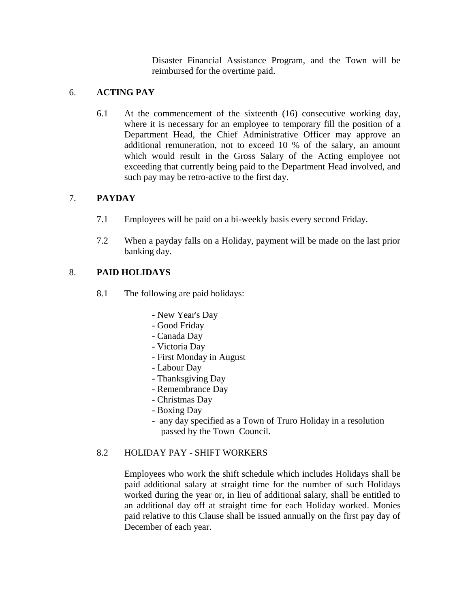Disaster Financial Assistance Program, and the Town will be reimbursed for the overtime paid.

# 6. **ACTING PAY**

6.1 At the commencement of the sixteenth (16) consecutive working day, where it is necessary for an employee to temporary fill the position of a Department Head, the Chief Administrative Officer may approve an additional remuneration, not to exceed 10 % of the salary, an amount which would result in the Gross Salary of the Acting employee not exceeding that currently being paid to the Department Head involved, and such pay may be retro-active to the first day.

# 7. **PAYDAY**

- 7.1 Employees will be paid on a bi-weekly basis every second Friday.
- 7.2 When a payday falls on a Holiday, payment will be made on the last prior banking day.

# 8. **PAID HOLIDAYS**

- 8.1 The following are paid holidays:
	- New Year's Day
	- Good Friday
	- Canada Day
	- Victoria Day
	- First Monday in August
	- Labour Day
	- Thanksgiving Day
	- Remembrance Day
	- Christmas Day
	- Boxing Day
	- any day specified as a Town of Truro Holiday in a resolution passed by the Town Council.

# 8.2 HOLIDAY PAY - SHIFT WORKERS

Employees who work the shift schedule which includes Holidays shall be paid additional salary at straight time for the number of such Holidays worked during the year or, in lieu of additional salary, shall be entitled to an additional day off at straight time for each Holiday worked. Monies paid relative to this Clause shall be issued annually on the first pay day of December of each year.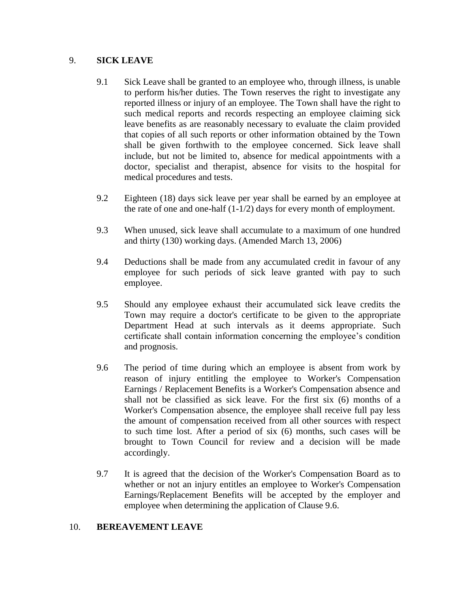## 9. **SICK LEAVE**

- 9.1 Sick Leave shall be granted to an employee who, through illness, is unable to perform his/her duties. The Town reserves the right to investigate any reported illness or injury of an employee. The Town shall have the right to such medical reports and records respecting an employee claiming sick leave benefits as are reasonably necessary to evaluate the claim provided that copies of all such reports or other information obtained by the Town shall be given forthwith to the employee concerned. Sick leave shall include, but not be limited to, absence for medical appointments with a doctor, specialist and therapist, absence for visits to the hospital for medical procedures and tests.
- 9.2 Eighteen (18) days sick leave per year shall be earned by an employee at the rate of one and one-half (1-1/2) days for every month of employment.
- 9.3 When unused, sick leave shall accumulate to a maximum of one hundred and thirty (130) working days. (Amended March 13, 2006)
- 9.4 Deductions shall be made from any accumulated credit in favour of any employee for such periods of sick leave granted with pay to such employee.
- 9.5 Should any employee exhaust their accumulated sick leave credits the Town may require a doctor's certificate to be given to the appropriate Department Head at such intervals as it deems appropriate. Such certificate shall contain information concerning the employee's condition and prognosis.
- 9.6 The period of time during which an employee is absent from work by reason of injury entitling the employee to Worker's Compensation Earnings / Replacement Benefits is a Worker's Compensation absence and shall not be classified as sick leave. For the first six (6) months of a Worker's Compensation absence, the employee shall receive full pay less the amount of compensation received from all other sources with respect to such time lost. After a period of six (6) months, such cases will be brought to Town Council for review and a decision will be made accordingly.
- 9.7 It is agreed that the decision of the Worker's Compensation Board as to whether or not an injury entitles an employee to Worker's Compensation Earnings/Replacement Benefits will be accepted by the employer and employee when determining the application of Clause 9.6.

## 10. **BEREAVEMENT LEAVE**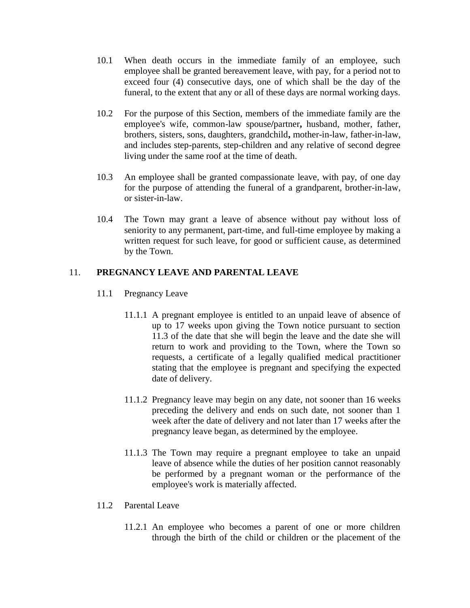- 10.1 When death occurs in the immediate family of an employee, such employee shall be granted bereavement leave, with pay, for a period not to exceed four (4) consecutive days, one of which shall be the day of the funeral, to the extent that any or all of these days are normal working days.
- 10.2 For the purpose of this Section, members of the immediate family are the employee's wife, common-law spouse**/**partner**,** husband, mother, father, brothers, sisters, sons, daughters, grandchild**,** mother-in-law, father-in-law, and includes step-parents, step-children and any relative of second degree living under the same roof at the time of death.
- 10.3 An employee shall be granted compassionate leave, with pay, of one day for the purpose of attending the funeral of a grandparent, brother-in-law, or sister-in-law.
- 10.4 The Town may grant a leave of absence without pay without loss of seniority to any permanent, part-time, and full-time employee by making a written request for such leave, for good or sufficient cause, as determined by the Town.

# 11. **PREGNANCY LEAVE AND PARENTAL LEAVE**

- 11.1 Pregnancy Leave
	- 11.1.1 A pregnant employee is entitled to an unpaid leave of absence of up to 17 weeks upon giving the Town notice pursuant to section 11.3 of the date that she will begin the leave and the date she will return to work and providing to the Town, where the Town so requests, a certificate of a legally qualified medical practitioner stating that the employee is pregnant and specifying the expected date of delivery.
	- 11.1.2 Pregnancy leave may begin on any date, not sooner than 16 weeks preceding the delivery and ends on such date, not sooner than 1 week after the date of delivery and not later than 17 weeks after the pregnancy leave began, as determined by the employee.
	- 11.1.3 The Town may require a pregnant employee to take an unpaid leave of absence while the duties of her position cannot reasonably be performed by a pregnant woman or the performance of the employee's work is materially affected.
- 11.2 Parental Leave
	- 11.2.1 An employee who becomes a parent of one or more children through the birth of the child or children or the placement of the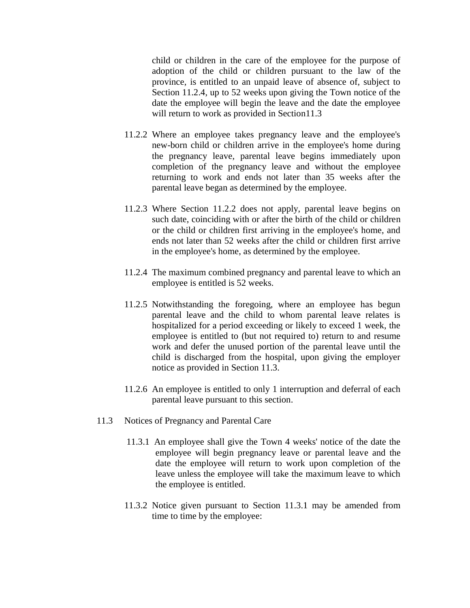child or children in the care of the employee for the purpose of adoption of the child or children pursuant to the law of the province, is entitled to an unpaid leave of absence of, subject to Section 11.2.4, up to 52 weeks upon giving the Town notice of the date the employee will begin the leave and the date the employee will return to work as provided in Section11.3

- 11.2.2 Where an employee takes pregnancy leave and the employee's new-born child or children arrive in the employee's home during the pregnancy leave, parental leave begins immediately upon completion of the pregnancy leave and without the employee returning to work and ends not later than 35 weeks after the parental leave began as determined by the employee.
- 11.2.3 Where Section 11.2.2 does not apply, parental leave begins on such date, coinciding with or after the birth of the child or children or the child or children first arriving in the employee's home, and ends not later than 52 weeks after the child or children first arrive in the employee's home, as determined by the employee.
- 11.2.4 The maximum combined pregnancy and parental leave to which an employee is entitled is 52 weeks.
- 11.2.5 Notwithstanding the foregoing, where an employee has begun parental leave and the child to whom parental leave relates is hospitalized for a period exceeding or likely to exceed 1 week, the employee is entitled to (but not required to) return to and resume work and defer the unused portion of the parental leave until the child is discharged from the hospital, upon giving the employer notice as provided in Section 11.3.
- 11.2.6 An employee is entitled to only 1 interruption and deferral of each parental leave pursuant to this section.
- 11.3 Notices of Pregnancy and Parental Care
	- 11.3.1 An employee shall give the Town 4 weeks' notice of the date the employee will begin pregnancy leave or parental leave and the date the employee will return to work upon completion of the leave unless the employee will take the maximum leave to which the employee is entitled.
	- 11.3.2 Notice given pursuant to Section 11.3.1 may be amended from time to time by the employee: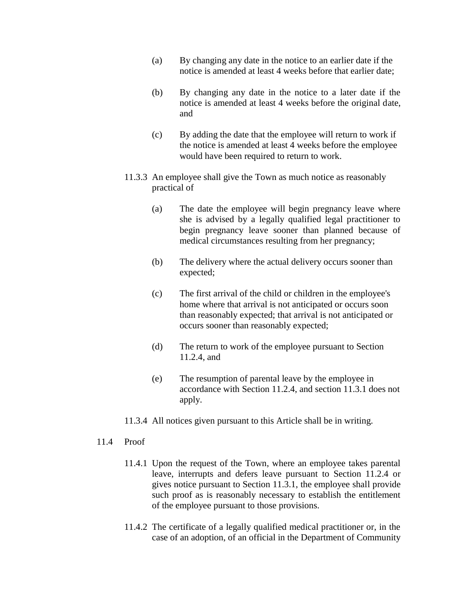- (a) By changing any date in the notice to an earlier date if the notice is amended at least 4 weeks before that earlier date;
- (b) By changing any date in the notice to a later date if the notice is amended at least 4 weeks before the original date, and
- (c) By adding the date that the employee will return to work if the notice is amended at least 4 weeks before the employee would have been required to return to work.
- 11.3.3 An employee shall give the Town as much notice as reasonably practical of
	- (a) The date the employee will begin pregnancy leave where she is advised by a legally qualified legal practitioner to begin pregnancy leave sooner than planned because of medical circumstances resulting from her pregnancy;
	- (b) The delivery where the actual delivery occurs sooner than expected;
	- (c) The first arrival of the child or children in the employee's home where that arrival is not anticipated or occurs soon than reasonably expected; that arrival is not anticipated or occurs sooner than reasonably expected;
	- (d) The return to work of the employee pursuant to Section 11.2.4, and
	- (e) The resumption of parental leave by the employee in accordance with Section 11.2.4, and section 11.3.1 does not apply.
- 11.3.4 All notices given pursuant to this Article shall be in writing.

## 11.4 Proof

- 11.4.1 Upon the request of the Town, where an employee takes parental leave, interrupts and defers leave pursuant to Section 11.2.4 or gives notice pursuant to Section 11.3.1, the employee shall provide such proof as is reasonably necessary to establish the entitlement of the employee pursuant to those provisions.
- 11.4.2 The certificate of a legally qualified medical practitioner or, in the case of an adoption, of an official in the Department of Community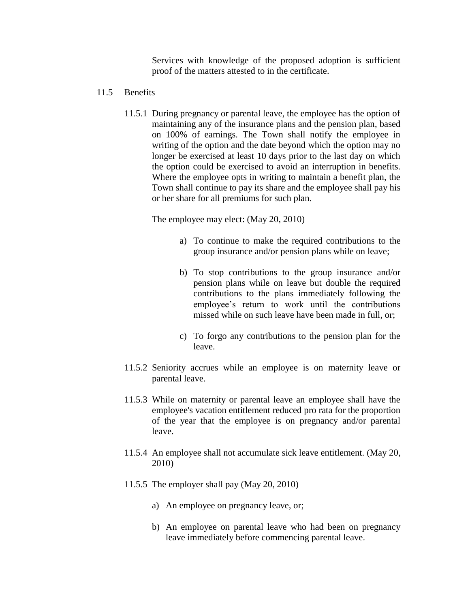Services with knowledge of the proposed adoption is sufficient proof of the matters attested to in the certificate.

- 11.5 Benefits
	- 11.5.1 During pregnancy or parental leave, the employee has the option of maintaining any of the insurance plans and the pension plan, based on 100% of earnings. The Town shall notify the employee in writing of the option and the date beyond which the option may no longer be exercised at least 10 days prior to the last day on which the option could be exercised to avoid an interruption in benefits. Where the employee opts in writing to maintain a benefit plan, the Town shall continue to pay its share and the employee shall pay his or her share for all premiums for such plan.

The employee may elect: (May 20, 2010)

- a) To continue to make the required contributions to the group insurance and/or pension plans while on leave;
- b) To stop contributions to the group insurance and/or pension plans while on leave but double the required contributions to the plans immediately following the employee's return to work until the contributions missed while on such leave have been made in full, or;
- c) To forgo any contributions to the pension plan for the leave.
- 11.5.2 Seniority accrues while an employee is on maternity leave or parental leave.
- 11.5.3 While on maternity or parental leave an employee shall have the employee's vacation entitlement reduced pro rata for the proportion of the year that the employee is on pregnancy and/or parental leave.
- 11.5.4 An employee shall not accumulate sick leave entitlement. (May 20, 2010)
- 11.5.5 The employer shall pay (May 20, 2010)
	- a) An employee on pregnancy leave, or;
	- b) An employee on parental leave who had been on pregnancy leave immediately before commencing parental leave.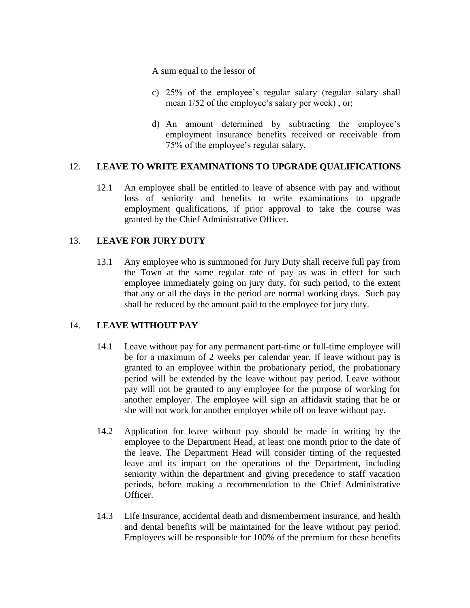A sum equal to the lessor of

- c) 25% of the employee's regular salary (regular salary shall mean 1/52 of the employee's salary per week) , or;
- d) An amount determined by subtracting the employee's employment insurance benefits received or receivable from 75% of the employee's regular salary.

# 12. **LEAVE TO WRITE EXAMINATIONS TO UPGRADE QUALIFICATIONS**

12.1 An employee shall be entitled to leave of absence with pay and without loss of seniority and benefits to write examinations to upgrade employment qualifications, if prior approval to take the course was granted by the Chief Administrative Officer.

# 13. **LEAVE FOR JURY DUTY**

13.1 Any employee who is summoned for Jury Duty shall receive full pay from the Town at the same regular rate of pay as was in effect for such employee immediately going on jury duty, for such period, to the extent that any or all the days in the period are normal working days. Such pay shall be reduced by the amount paid to the employee for jury duty.

# 14. **LEAVE WITHOUT PAY**

- 14.1 Leave without pay for any permanent part-time or full-time employee will be for a maximum of 2 weeks per calendar year. If leave without pay is granted to an employee within the probationary period, the probationary period will be extended by the leave without pay period. Leave without pay will not be granted to any employee for the purpose of working for another employer. The employee will sign an affidavit stating that he or she will not work for another employer while off on leave without pay.
- 14.2 Application for leave without pay should be made in writing by the employee to the Department Head, at least one month prior to the date of the leave. The Department Head will consider timing of the requested leave and its impact on the operations of the Department, including seniority within the department and giving precedence to staff vacation periods, before making a recommendation to the Chief Administrative Officer.
- 14.3 Life Insurance, accidental death and dismemberment insurance, and health and dental benefits will be maintained for the leave without pay period. Employees will be responsible for 100% of the premium for these benefits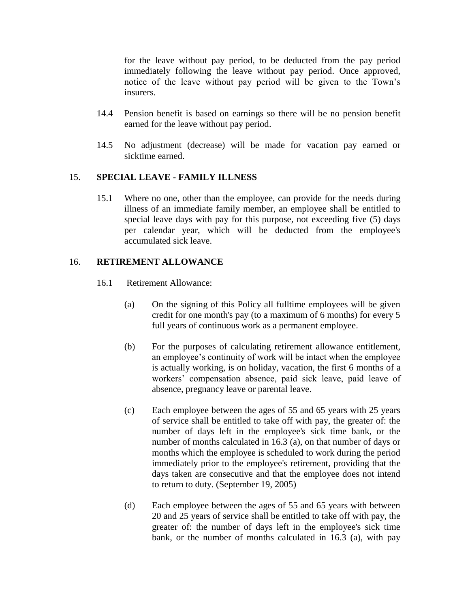for the leave without pay period, to be deducted from the pay period immediately following the leave without pay period. Once approved, notice of the leave without pay period will be given to the Town's insurers.

- 14.4 Pension benefit is based on earnings so there will be no pension benefit earned for the leave without pay period.
- 14.5 No adjustment (decrease) will be made for vacation pay earned or sicktime earned.

## 15. **SPECIAL LEAVE - FAMILY ILLNESS**

15.1 Where no one, other than the employee, can provide for the needs during illness of an immediate family member, an employee shall be entitled to special leave days with pay for this purpose, not exceeding five (5) days per calendar year, which will be deducted from the employee's accumulated sick leave.

## 16. **RETIREMENT ALLOWANCE**

- 16.1 Retirement Allowance:
	- (a) On the signing of this Policy all fulltime employees will be given credit for one month's pay (to a maximum of 6 months) for every 5 full years of continuous work as a permanent employee.
	- (b) For the purposes of calculating retirement allowance entitlement, an employee's continuity of work will be intact when the employee is actually working, is on holiday, vacation, the first 6 months of a workers' compensation absence, paid sick leave, paid leave of absence, pregnancy leave or parental leave.
	- (c) Each employee between the ages of 55 and 65 years with 25 years of service shall be entitled to take off with pay, the greater of: the number of days left in the employee's sick time bank, or the number of months calculated in 16.3 (a), on that number of days or months which the employee is scheduled to work during the period immediately prior to the employee's retirement, providing that the days taken are consecutive and that the employee does not intend to return to duty. (September 19, 2005)
	- (d) Each employee between the ages of 55 and 65 years with between 20 and 25 years of service shall be entitled to take off with pay, the greater of: the number of days left in the employee's sick time bank, or the number of months calculated in 16.3 (a), with pay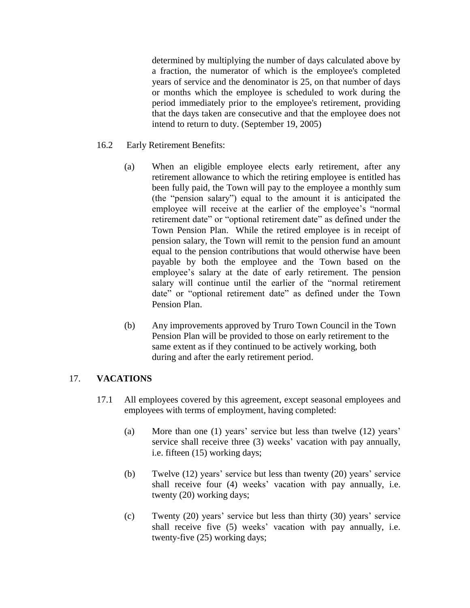determined by multiplying the number of days calculated above by a fraction, the numerator of which is the employee's completed years of service and the denominator is 25, on that number of days or months which the employee is scheduled to work during the period immediately prior to the employee's retirement, providing that the days taken are consecutive and that the employee does not intend to return to duty. (September 19, 2005)

- 16.2 Early Retirement Benefits:
	- (a) When an eligible employee elects early retirement, after any retirement allowance to which the retiring employee is entitled has been fully paid, the Town will pay to the employee a monthly sum (the "pension salary") equal to the amount it is anticipated the employee will receive at the earlier of the employee's "normal retirement date" or "optional retirement date" as defined under the Town Pension Plan. While the retired employee is in receipt of pension salary, the Town will remit to the pension fund an amount equal to the pension contributions that would otherwise have been payable by both the employee and the Town based on the employee's salary at the date of early retirement. The pension salary will continue until the earlier of the "normal retirement date" or "optional retirement date" as defined under the Town Pension Plan.
	- (b) Any improvements approved by Truro Town Council in the Town Pension Plan will be provided to those on early retirement to the same extent as if they continued to be actively working, both during and after the early retirement period.

# 17. **VACATIONS**

- 17.1 All employees covered by this agreement, except seasonal employees and employees with terms of employment, having completed:
	- (a) More than one (1) years' service but less than twelve (12) years' service shall receive three (3) weeks' vacation with pay annually, i.e. fifteen (15) working days;
	- (b) Twelve (12) years' service but less than twenty (20) years' service shall receive four (4) weeks' vacation with pay annually, i.e. twenty (20) working days;
	- (c) Twenty (20) years' service but less than thirty (30) years' service shall receive five (5) weeks' vacation with pay annually, i.e. twenty-five (25) working days;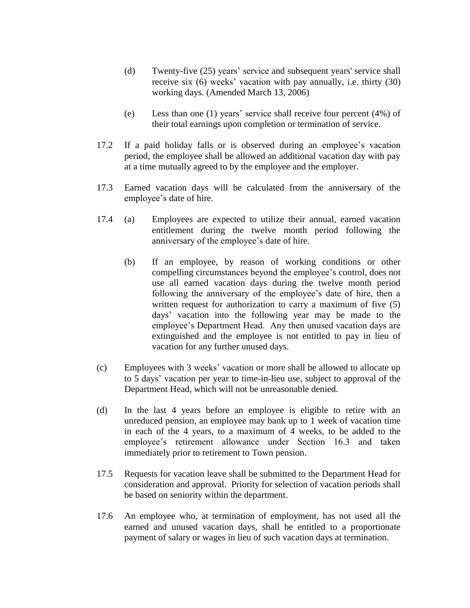- (d) Twenty-five (25) years' service and subsequent years' service shall receive six (6) weeks' vacation with pay annually, i.e. thirty (30) working days. (Amended March 13, 2006)
- (e) Less than one (1) years' service shall receive four percent (4%) of their total earnings upon completion or termination of service.
- 17.2 If a paid holiday falls or is observed during an employee's vacation period, the employee shall be allowed an additional vacation day with pay at a time mutually agreed to by the employee and the employer.
- 17.3 Earned vacation days will be calculated from the anniversary of the employee's date of hire.
- 17.4 (a) Employees are expected to utilize their annual, earned vacation entitlement during the twelve month period following the anniversary of the employee's date of hire.
	- (b) If an employee, by reason of working conditions or other compelling circumstances beyond the employee's control, does not use all earned vacation days during the twelve month period following the anniversary of the employee's date of hire, then a written request for authorization to carry a maximum of five (5) days' vacation into the following year may be made to the employee's Department Head. Any then unused vacation days are extinguished and the employee is not entitled to pay in lieu of vacation for any further unused days.
- (c) Employees with 3 weeks' vacation or more shall be allowed to allocate up to 5 days' vacation per year to time-in-lieu use, subject to approval of the Department Head, which will not be unreasonable denied.
- (d) In the last 4 years before an employee is eligible to retire with an unreduced pension, an employee may bank up to 1 week of vacation time in each of the 4 years, to a maximum of 4 weeks, to be added to the employee's retirement allowance under Section 16.3 and taken immediately prior to retirement to Town pension.
- 17.5 Requests for vacation leave shall be submitted to the Department Head for consideration and approval. Priority for selection of vacation periods shall be based on seniority within the department.
- 17.6 An employee who, at termination of employment, has not used all the earned and unused vacation days, shall be entitled to a proportionate payment of salary or wages in lieu of such vacation days at termination.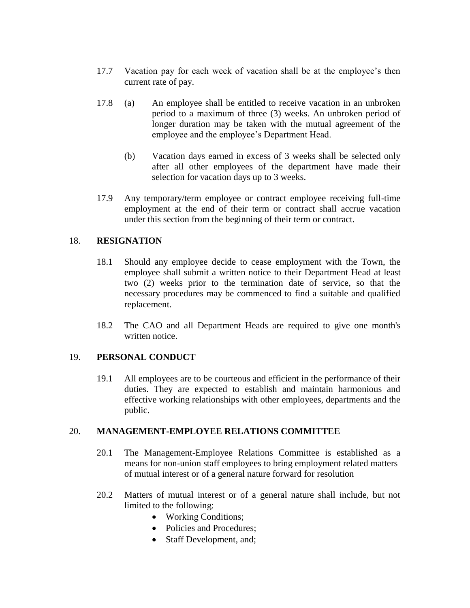- 17.7 Vacation pay for each week of vacation shall be at the employee's then current rate of pay.
- 17.8 (a) An employee shall be entitled to receive vacation in an unbroken period to a maximum of three (3) weeks. An unbroken period of longer duration may be taken with the mutual agreement of the employee and the employee's Department Head.
	- (b) Vacation days earned in excess of 3 weeks shall be selected only after all other employees of the department have made their selection for vacation days up to 3 weeks.
- 17.9 Any temporary/term employee or contract employee receiving full-time employment at the end of their term or contract shall accrue vacation under this section from the beginning of their term or contract.

## 18. **RESIGNATION**

- 18.1 Should any employee decide to cease employment with the Town, the employee shall submit a written notice to their Department Head at least two (2) weeks prior to the termination date of service, so that the necessary procedures may be commenced to find a suitable and qualified replacement.
- 18.2 The CAO and all Department Heads are required to give one month's written notice.

## 19. **PERSONAL CONDUCT**

19.1 All employees are to be courteous and efficient in the performance of their duties. They are expected to establish and maintain harmonious and effective working relationships with other employees, departments and the public.

## 20. **MANAGEMENT-EMPLOYEE RELATIONS COMMITTEE**

- 20.1 The Management-Employee Relations Committee is established as a means for non-union staff employees to bring employment related matters of mutual interest or of a general nature forward for resolution
- 20.2 Matters of mutual interest or of a general nature shall include, but not limited to the following:
	- Working Conditions;
	- Policies and Procedures;
	- Staff Development, and;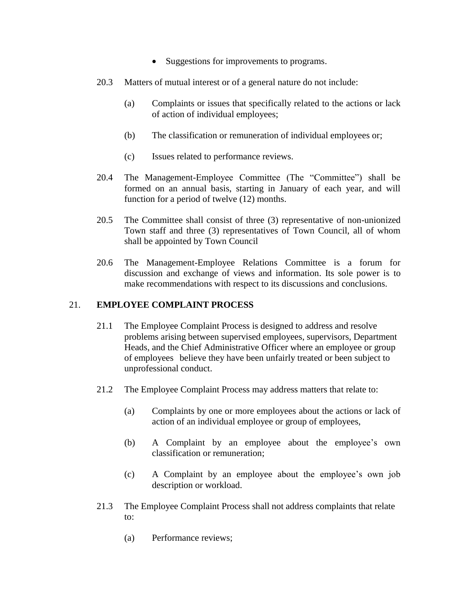- Suggestions for improvements to programs.
- 20.3 Matters of mutual interest or of a general nature do not include:
	- (a) Complaints or issues that specifically related to the actions or lack of action of individual employees;
	- (b) The classification or remuneration of individual employees or;
	- (c) Issues related to performance reviews.
- 20.4 The Management-Employee Committee (The "Committee") shall be formed on an annual basis, starting in January of each year, and will function for a period of twelve (12) months.
- 20.5 The Committee shall consist of three (3) representative of non-unionized Town staff and three (3) representatives of Town Council, all of whom shall be appointed by Town Council
- 20.6 The Management-Employee Relations Committee is a forum for discussion and exchange of views and information. Its sole power is to make recommendations with respect to its discussions and conclusions.

#### 21. **EMPLOYEE COMPLAINT PROCESS**

- 21.1 The Employee Complaint Process is designed to address and resolve problems arising between supervised employees, supervisors, Department Heads, and the Chief Administrative Officer where an employee or group of employees believe they have been unfairly treated or been subject to unprofessional conduct.
- 21.2 The Employee Complaint Process may address matters that relate to:
	- (a) Complaints by one or more employees about the actions or lack of action of an individual employee or group of employees,
	- (b) A Complaint by an employee about the employee's own classification or remuneration;
	- (c) A Complaint by an employee about the employee's own job description or workload.
- 21.3 The Employee Complaint Process shall not address complaints that relate to:
	- (a) Performance reviews;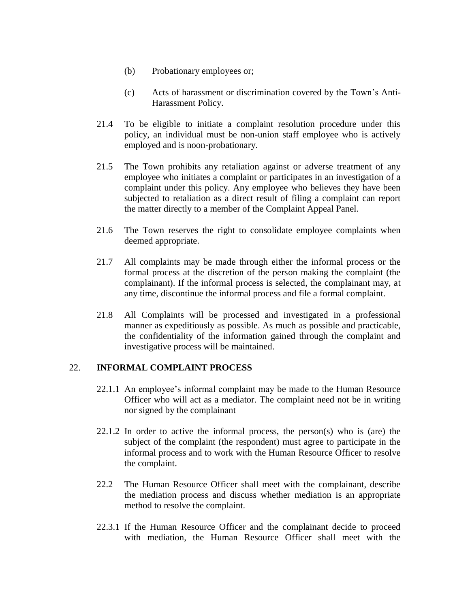- (b) Probationary employees or;
- (c) Acts of harassment or discrimination covered by the Town's Anti-Harassment Policy.
- 21.4 To be eligible to initiate a complaint resolution procedure under this policy, an individual must be non-union staff employee who is actively employed and is noon-probationary.
- 21.5 The Town prohibits any retaliation against or adverse treatment of any employee who initiates a complaint or participates in an investigation of a complaint under this policy. Any employee who believes they have been subjected to retaliation as a direct result of filing a complaint can report the matter directly to a member of the Complaint Appeal Panel.
- 21.6 The Town reserves the right to consolidate employee complaints when deemed appropriate.
- 21.7 All complaints may be made through either the informal process or the formal process at the discretion of the person making the complaint (the complainant). If the informal process is selected, the complainant may, at any time, discontinue the informal process and file a formal complaint.
- 21.8 All Complaints will be processed and investigated in a professional manner as expeditiously as possible. As much as possible and practicable, the confidentiality of the information gained through the complaint and investigative process will be maintained.

## 22. **INFORMAL COMPLAINT PROCESS**

- 22.1.1 An employee's informal complaint may be made to the Human Resource Officer who will act as a mediator. The complaint need not be in writing nor signed by the complainant
- $22.1.2$  In order to active the informal process, the person(s) who is (are) the subject of the complaint (the respondent) must agree to participate in the informal process and to work with the Human Resource Officer to resolve the complaint.
- 22.2 The Human Resource Officer shall meet with the complainant, describe the mediation process and discuss whether mediation is an appropriate method to resolve the complaint.
- 22.3.1 If the Human Resource Officer and the complainant decide to proceed with mediation, the Human Resource Officer shall meet with the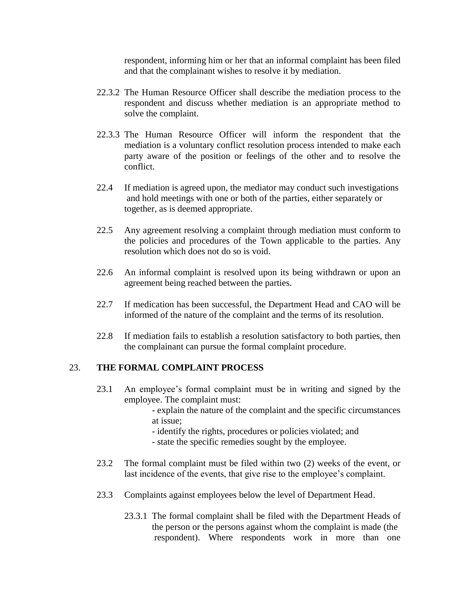respondent, informing him or her that an informal complaint has been filed and that the complainant wishes to resolve it by mediation.

- 22.3.2 The Human Resource Officer shall describe the mediation process to the respondent and discuss whether mediation is an appropriate method to solve the complaint.
- 22.3.3 The Human Resource Officer will inform the respondent that the mediation is a voluntary conflict resolution process intended to make each party aware of the position or feelings of the other and to resolve the conflict.
- 22.4 If mediation is agreed upon, the mediator may conduct such investigations and hold meetings with one or both of the parties, either separately or together, as is deemed appropriate.
- 22.5 Any agreement resolving a complaint through mediation must conform to the policies and procedures of the Town applicable to the parties. Any resolution which does not do so is void.
- 22.6 An informal complaint is resolved upon its being withdrawn or upon an agreement being reached between the parties.
- 22.7 If medication has been successful, the Department Head and CAO will be informed of the nature of the complaint and the terms of its resolution.
- 22.8 If mediation fails to establish a resolution satisfactory to both parties, then the complainant can pursue the formal complaint procedure.

## 23. **THE FORMAL COMPLAINT PROCESS**

- 23.1 An employee's formal complaint must be in writing and signed by the employee. The complaint must:
	- explain the nature of the complaint and the specific circumstances at issue;
	- identify the rights, procedures or policies violated; and
	- state the specific remedies sought by the employee.
- 23.2 The formal complaint must be filed within two (2) weeks of the event, or last incidence of the events, that give rise to the employee's complaint.
- 23.3 Complaints against employees below the level of Department Head.
	- 23.3.1 The formal complaint shall be filed with the Department Heads of the person or the persons against whom the complaint is made (the respondent). Where respondents work in more than one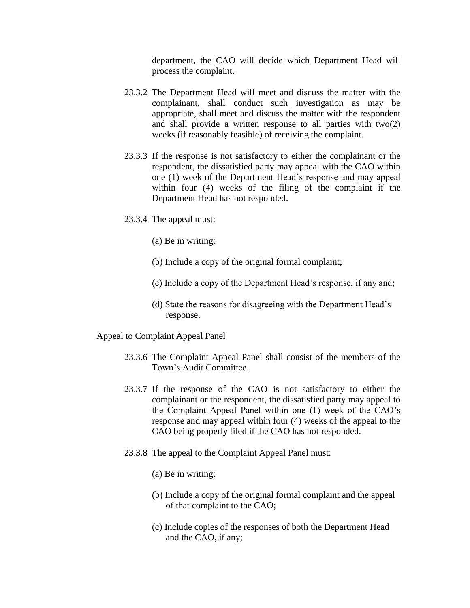department, the CAO will decide which Department Head will process the complaint.

- 23.3.2 The Department Head will meet and discuss the matter with the complainant, shall conduct such investigation as may be appropriate, shall meet and discuss the matter with the respondent and shall provide a written response to all parties with two(2) weeks (if reasonably feasible) of receiving the complaint.
- 23.3.3 If the response is not satisfactory to either the complainant or the respondent, the dissatisfied party may appeal with the CAO within one (1) week of the Department Head's response and may appeal within four (4) weeks of the filing of the complaint if the Department Head has not responded.
- 23.3.4 The appeal must:
	- (a) Be in writing;
	- (b) Include a copy of the original formal complaint;
	- (c) Include a copy of the Department Head's response, if any and;
	- (d) State the reasons for disagreeing with the Department Head's response.

Appeal to Complaint Appeal Panel

- 23.3.6 The Complaint Appeal Panel shall consist of the members of the Town's Audit Committee.
- 23.3.7 If the response of the CAO is not satisfactory to either the complainant or the respondent, the dissatisfied party may appeal to the Complaint Appeal Panel within one (1) week of the CAO's response and may appeal within four (4) weeks of the appeal to the CAO being properly filed if the CAO has not responded.
- 23.3.8 The appeal to the Complaint Appeal Panel must:
	- (a) Be in writing;
	- (b) Include a copy of the original formal complaint and the appeal of that complaint to the CAO;
	- (c) Include copies of the responses of both the Department Head and the CAO, if any;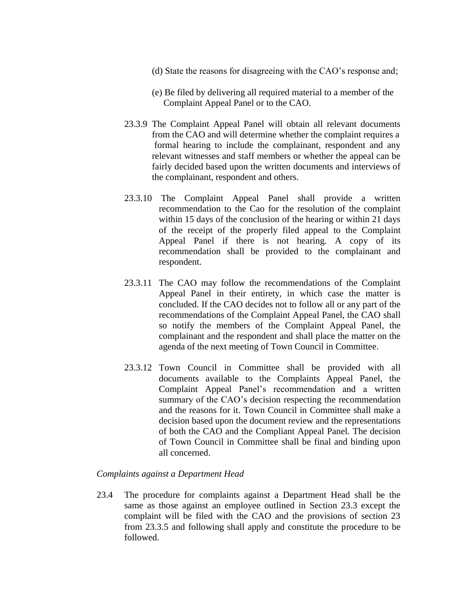- (d) State the reasons for disagreeing with the CAO's response and;
- (e) Be filed by delivering all required material to a member of the Complaint Appeal Panel or to the CAO.
- 23.3.9 The Complaint Appeal Panel will obtain all relevant documents from the CAO and will determine whether the complaint requires a formal hearing to include the complainant, respondent and any relevant witnesses and staff members or whether the appeal can be fairly decided based upon the written documents and interviews of the complainant, respondent and others.
- 23.3.10 The Complaint Appeal Panel shall provide a written recommendation to the Cao for the resolution of the complaint within 15 days of the conclusion of the hearing or within 21 days of the receipt of the properly filed appeal to the Complaint Appeal Panel if there is not hearing. A copy of its recommendation shall be provided to the complainant and respondent.
- 23.3.11 The CAO may follow the recommendations of the Complaint Appeal Panel in their entirety, in which case the matter is concluded. If the CAO decides not to follow all or any part of the recommendations of the Complaint Appeal Panel, the CAO shall so notify the members of the Complaint Appeal Panel, the complainant and the respondent and shall place the matter on the agenda of the next meeting of Town Council in Committee.
- 23.3.12 Town Council in Committee shall be provided with all documents available to the Complaints Appeal Panel, the Complaint Appeal Panel's recommendation and a written summary of the CAO's decision respecting the recommendation and the reasons for it. Town Council in Committee shall make a decision based upon the document review and the representations of both the CAO and the Compliant Appeal Panel. The decision of Town Council in Committee shall be final and binding upon all concerned.

## *Complaints against a Department Head*

23.4 The procedure for complaints against a Department Head shall be the same as those against an employee outlined in Section 23.3 except the complaint will be filed with the CAO and the provisions of section 23 from 23.3.5 and following shall apply and constitute the procedure to be followed.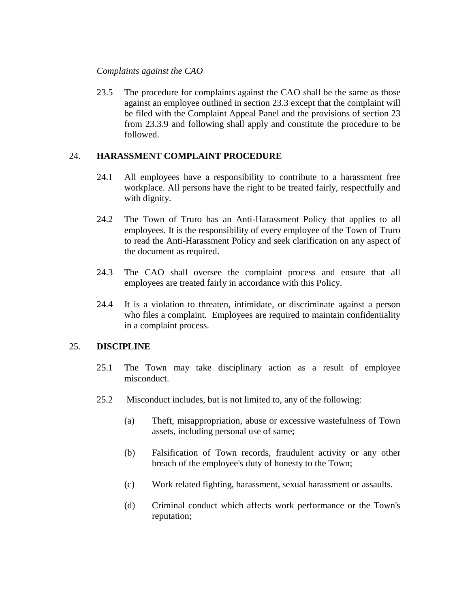## *Complaints against the CAO*

23.5 The procedure for complaints against the CAO shall be the same as those against an employee outlined in section 23.3 except that the complaint will be filed with the Complaint Appeal Panel and the provisions of section 23 from 23.3.9 and following shall apply and constitute the procedure to be followed.

## 24. **HARASSMENT COMPLAINT PROCEDURE**

- 24.1 All employees have a responsibility to contribute to a harassment free workplace. All persons have the right to be treated fairly, respectfully and with dignity.
- 24.2 The Town of Truro has an Anti-Harassment Policy that applies to all employees. It is the responsibility of every employee of the Town of Truro to read the Anti-Harassment Policy and seek clarification on any aspect of the document as required.
- 24.3 The CAO shall oversee the complaint process and ensure that all employees are treated fairly in accordance with this Policy.
- 24.4 It is a violation to threaten, intimidate, or discriminate against a person who files a complaint. Employees are required to maintain confidentiality in a complaint process.

## 25. **DISCIPLINE**

- 25.1 The Town may take disciplinary action as a result of employee misconduct.
- 25.2 Misconduct includes, but is not limited to, any of the following:
	- (a) Theft, misappropriation, abuse or excessive wastefulness of Town assets, including personal use of same;
	- (b) Falsification of Town records, fraudulent activity or any other breach of the employee's duty of honesty to the Town;
	- (c) Work related fighting, harassment, sexual harassment or assaults.
	- (d) Criminal conduct which affects work performance or the Town's reputation;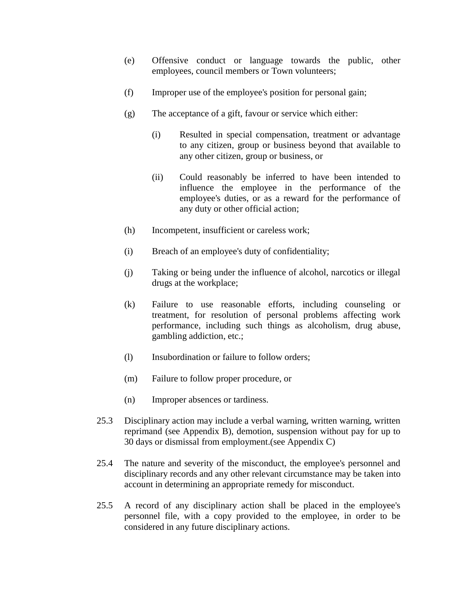- (e) Offensive conduct or language towards the public, other employees, council members or Town volunteers;
- (f) Improper use of the employee's position for personal gain;
- (g) The acceptance of a gift, favour or service which either:
	- (i) Resulted in special compensation, treatment or advantage to any citizen, group or business beyond that available to any other citizen, group or business, or
	- (ii) Could reasonably be inferred to have been intended to influence the employee in the performance of the employee's duties, or as a reward for the performance of any duty or other official action;
- (h) Incompetent, insufficient or careless work;
- (i) Breach of an employee's duty of confidentiality;
- (j) Taking or being under the influence of alcohol, narcotics or illegal drugs at the workplace;
- (k) Failure to use reasonable efforts, including counseling or treatment, for resolution of personal problems affecting work performance, including such things as alcoholism, drug abuse, gambling addiction, etc.;
- (l) Insubordination or failure to follow orders;
- (m) Failure to follow proper procedure, or
- (n) Improper absences or tardiness.
- 25.3 Disciplinary action may include a verbal warning, written warning, written reprimand (see Appendix B), demotion, suspension without pay for up to 30 days or dismissal from employment.(see Appendix C)
- 25.4 The nature and severity of the misconduct, the employee's personnel and disciplinary records and any other relevant circumstance may be taken into account in determining an appropriate remedy for misconduct.
- 25.5 A record of any disciplinary action shall be placed in the employee's personnel file, with a copy provided to the employee, in order to be considered in any future disciplinary actions.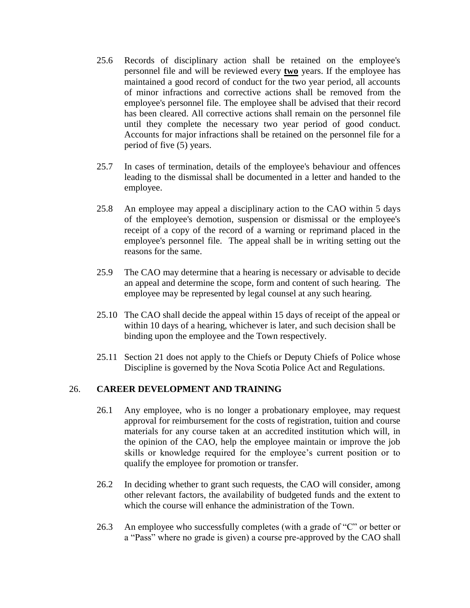- 25.6 Records of disciplinary action shall be retained on the employee's personnel file and will be reviewed every **two** years. If the employee has maintained a good record of conduct for the two year period, all accounts of minor infractions and corrective actions shall be removed from the employee's personnel file. The employee shall be advised that their record has been cleared. All corrective actions shall remain on the personnel file until they complete the necessary two year period of good conduct. Accounts for major infractions shall be retained on the personnel file for a period of five (5) years.
- 25.7 In cases of termination, details of the employee's behaviour and offences leading to the dismissal shall be documented in a letter and handed to the employee.
- 25.8 An employee may appeal a disciplinary action to the CAO within 5 days of the employee's demotion, suspension or dismissal or the employee's receipt of a copy of the record of a warning or reprimand placed in the employee's personnel file. The appeal shall be in writing setting out the reasons for the same.
- 25.9 The CAO may determine that a hearing is necessary or advisable to decide an appeal and determine the scope, form and content of such hearing. The employee may be represented by legal counsel at any such hearing.
- 25.10 The CAO shall decide the appeal within 15 days of receipt of the appeal or within 10 days of a hearing, whichever is later, and such decision shall be binding upon the employee and the Town respectively.
- 25.11 Section 21 does not apply to the Chiefs or Deputy Chiefs of Police whose Discipline is governed by the Nova Scotia Police Act and Regulations.

## 26. **CAREER DEVELOPMENT AND TRAINING**

- 26.1 Any employee, who is no longer a probationary employee, may request approval for reimbursement for the costs of registration, tuition and course materials for any course taken at an accredited institution which will, in the opinion of the CAO, help the employee maintain or improve the job skills or knowledge required for the employee's current position or to qualify the employee for promotion or transfer.
- 26.2 In deciding whether to grant such requests, the CAO will consider, among other relevant factors, the availability of budgeted funds and the extent to which the course will enhance the administration of the Town.
- 26.3 An employee who successfully completes (with a grade of "C" or better or a "Pass" where no grade is given) a course pre-approved by the CAO shall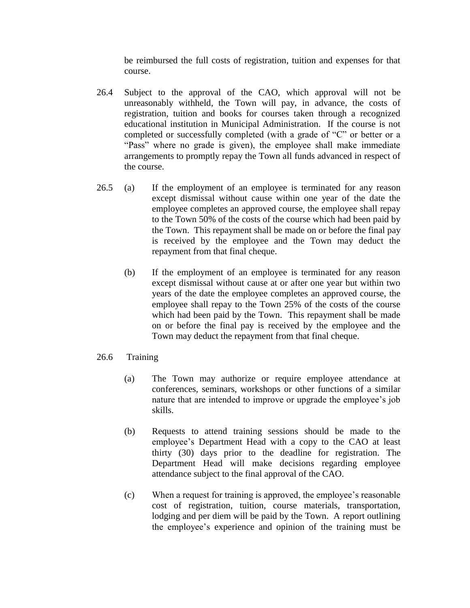be reimbursed the full costs of registration, tuition and expenses for that course.

- 26.4 Subject to the approval of the CAO, which approval will not be unreasonably withheld, the Town will pay, in advance, the costs of registration, tuition and books for courses taken through a recognized educational institution in Municipal Administration. If the course is not completed or successfully completed (with a grade of "C" or better or a "Pass" where no grade is given), the employee shall make immediate arrangements to promptly repay the Town all funds advanced in respect of the course.
- 26.5 (a) If the employment of an employee is terminated for any reason except dismissal without cause within one year of the date the employee completes an approved course, the employee shall repay to the Town 50% of the costs of the course which had been paid by the Town. This repayment shall be made on or before the final pay is received by the employee and the Town may deduct the repayment from that final cheque.
	- (b) If the employment of an employee is terminated for any reason except dismissal without cause at or after one year but within two years of the date the employee completes an approved course, the employee shall repay to the Town 25% of the costs of the course which had been paid by the Town. This repayment shall be made on or before the final pay is received by the employee and the Town may deduct the repayment from that final cheque.

## 26.6 Training

- (a) The Town may authorize or require employee attendance at conferences, seminars, workshops or other functions of a similar nature that are intended to improve or upgrade the employee's job skills.
- (b) Requests to attend training sessions should be made to the employee's Department Head with a copy to the CAO at least thirty (30) days prior to the deadline for registration. The Department Head will make decisions regarding employee attendance subject to the final approval of the CAO.
- (c) When a request for training is approved, the employee's reasonable cost of registration, tuition, course materials, transportation, lodging and per diem will be paid by the Town. A report outlining the employee's experience and opinion of the training must be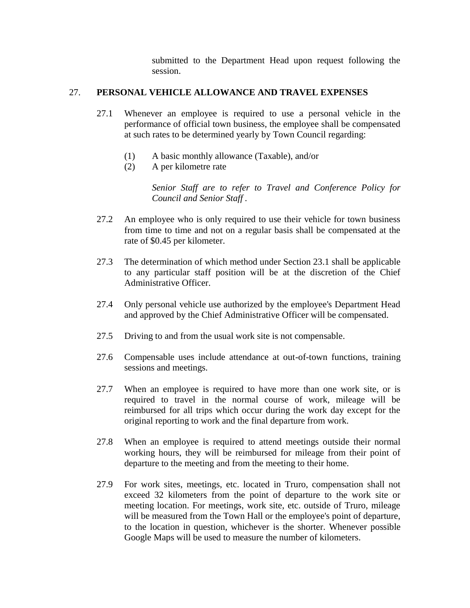submitted to the Department Head upon request following the session.

## 27. **PERSONAL VEHICLE ALLOWANCE AND TRAVEL EXPENSES**

- 27.1 Whenever an employee is required to use a personal vehicle in the performance of official town business, the employee shall be compensated at such rates to be determined yearly by Town Council regarding:
	- (1) A basic monthly allowance (Taxable), and/or
	- (2) A per kilometre rate

*Senior Staff are to refer to Travel and Conference Policy for Council and Senior Staff .*

- 27.2 An employee who is only required to use their vehicle for town business from time to time and not on a regular basis shall be compensated at the rate of \$0.45 per kilometer.
- 27.3 The determination of which method under Section 23.1 shall be applicable to any particular staff position will be at the discretion of the Chief Administrative Officer.
- 27.4 Only personal vehicle use authorized by the employee's Department Head and approved by the Chief Administrative Officer will be compensated.
- 27.5 Driving to and from the usual work site is not compensable.
- 27.6 Compensable uses include attendance at out-of-town functions, training sessions and meetings.
- 27.7 When an employee is required to have more than one work site, or is required to travel in the normal course of work, mileage will be reimbursed for all trips which occur during the work day except for the original reporting to work and the final departure from work.
- 27.8 When an employee is required to attend meetings outside their normal working hours, they will be reimbursed for mileage from their point of departure to the meeting and from the meeting to their home.
- 27.9 For work sites, meetings, etc. located in Truro, compensation shall not exceed 32 kilometers from the point of departure to the work site or meeting location. For meetings, work site, etc. outside of Truro, mileage will be measured from the Town Hall or the employee's point of departure, to the location in question, whichever is the shorter. Whenever possible Google Maps will be used to measure the number of kilometers.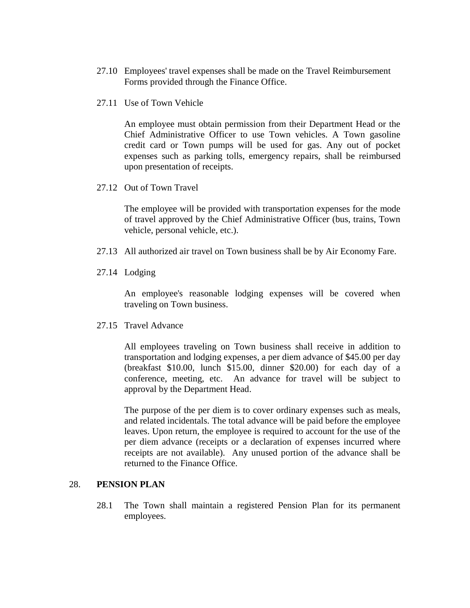- 27.10 Employees' travel expenses shall be made on the Travel Reimbursement Forms provided through the Finance Office.
- 27.11 Use of Town Vehicle

An employee must obtain permission from their Department Head or the Chief Administrative Officer to use Town vehicles. A Town gasoline credit card or Town pumps will be used for gas. Any out of pocket expenses such as parking tolls, emergency repairs, shall be reimbursed upon presentation of receipts.

27.12 Out of Town Travel

The employee will be provided with transportation expenses for the mode of travel approved by the Chief Administrative Officer (bus, trains, Town vehicle, personal vehicle, etc.).

- 27.13 All authorized air travel on Town business shall be by Air Economy Fare.
- 27.14 Lodging

An employee's reasonable lodging expenses will be covered when traveling on Town business.

27.15 Travel Advance

All employees traveling on Town business shall receive in addition to transportation and lodging expenses, a per diem advance of \$45.00 per day (breakfast \$10.00, lunch \$15.00, dinner \$20.00) for each day of a conference, meeting, etc. An advance for travel will be subject to approval by the Department Head.

The purpose of the per diem is to cover ordinary expenses such as meals, and related incidentals. The total advance will be paid before the employee leaves. Upon return, the employee is required to account for the use of the per diem advance (receipts or a declaration of expenses incurred where receipts are not available). Any unused portion of the advance shall be returned to the Finance Office.

#### 28. **PENSION PLAN**

28.1 The Town shall maintain a registered Pension Plan for its permanent employees.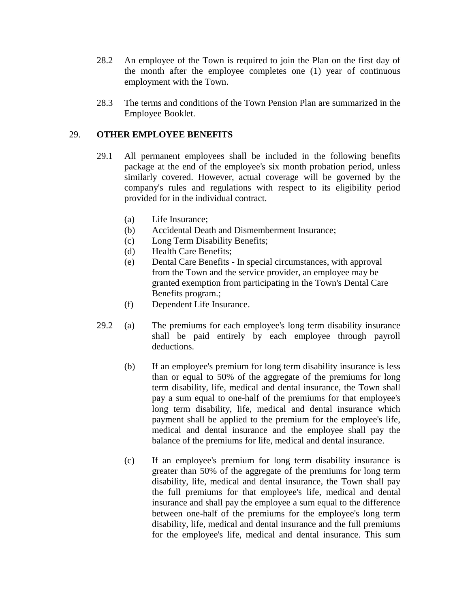- 28.2 An employee of the Town is required to join the Plan on the first day of the month after the employee completes one (1) year of continuous employment with the Town.
- 28.3 The terms and conditions of the Town Pension Plan are summarized in the Employee Booklet.

# 29. **OTHER EMPLOYEE BENEFITS**

- 29.1 All permanent employees shall be included in the following benefits package at the end of the employee's six month probation period, unless similarly covered. However, actual coverage will be governed by the company's rules and regulations with respect to its eligibility period provided for in the individual contract.
	- (a) Life Insurance;
	- (b) Accidental Death and Dismemberment Insurance;
	- (c) Long Term Disability Benefits;
	- (d) Health Care Benefits;
	- (e) Dental Care Benefits **-** In special circumstances, with approval from the Town and the service provider, an employee may be granted exemption from participating in the Town's Dental Care Benefits program.;
	- (f) Dependent Life Insurance.
- 29.2 (a) The premiums for each employee's long term disability insurance shall be paid entirely by each employee through payroll deductions.
	- (b) If an employee's premium for long term disability insurance is less than or equal to 50% of the aggregate of the premiums for long term disability, life, medical and dental insurance, the Town shall pay a sum equal to one-half of the premiums for that employee's long term disability, life, medical and dental insurance which payment shall be applied to the premium for the employee's life, medical and dental insurance and the employee shall pay the balance of the premiums for life, medical and dental insurance.
	- (c) If an employee's premium for long term disability insurance is greater than 50% of the aggregate of the premiums for long term disability, life, medical and dental insurance, the Town shall pay the full premiums for that employee's life, medical and dental insurance and shall pay the employee a sum equal to the difference between one-half of the premiums for the employee's long term disability, life, medical and dental insurance and the full premiums for the employee's life, medical and dental insurance. This sum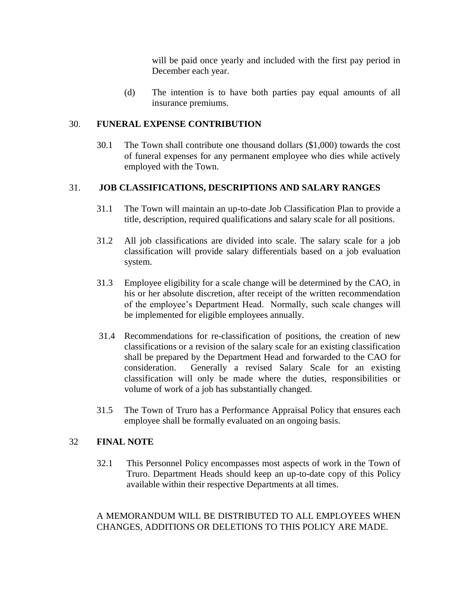will be paid once yearly and included with the first pay period in December each year.

(d) The intention is to have both parties pay equal amounts of all insurance premiums.

# 30. **FUNERAL EXPENSE CONTRIBUTION**

30.1 The Town shall contribute one thousand dollars (\$1,000) towards the cost of funeral expenses for any permanent employee who dies while actively employed with the Town.

# 31. **JOB CLASSIFICATIONS, DESCRIPTIONS AND SALARY RANGES**

- 31.1 The Town will maintain an up-to-date Job Classification Plan to provide a title, description, required qualifications and salary scale for all positions.
- 31.2 All job classifications are divided into scale. The salary scale for a job classification will provide salary differentials based on a job evaluation system.
- 31.3 Employee eligibility for a scale change will be determined by the CAO, in his or her absolute discretion, after receipt of the written recommendation of the employee's Department Head. Normally, such scale changes will be implemented for eligible employees annually.
- 31.4 Recommendations for re-classification of positions, the creation of new classifications or a revision of the salary scale for an existing classification shall be prepared by the Department Head and forwarded to the CAO for consideration. Generally a revised Salary Scale for an existing classification will only be made where the duties, responsibilities or volume of work of a job has substantially changed.
- 31.5 The Town of Truro has a Performance Appraisal Policy that ensures each employee shall be formally evaluated on an ongoing basis.

# 32 **FINAL NOTE**

32.1 This Personnel Policy encompasses most aspects of work in the Town of Truro. Department Heads should keep an up-to-date copy of this Policy available within their respective Departments at all times.

# A MEMORANDUM WILL BE DISTRIBUTED TO ALL EMPLOYEES WHEN CHANGES, ADDITIONS OR DELETIONS TO THIS POLICY ARE MADE.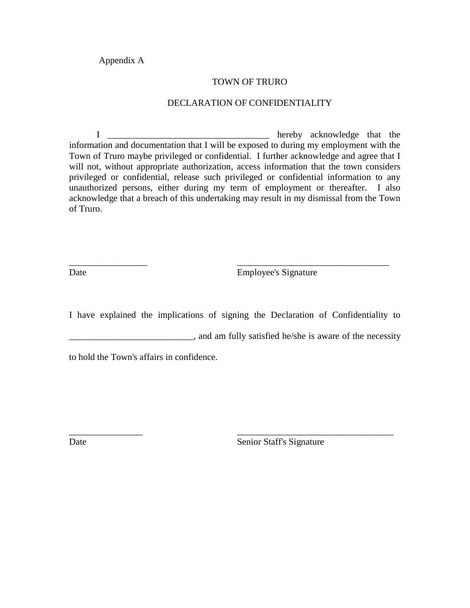Appendix A

#### TOWN OF TRURO

#### DECLARATION OF CONFIDENTIALITY

I \_\_\_\_\_\_\_\_\_\_\_\_\_\_\_\_\_\_\_\_\_\_\_\_\_\_\_\_\_\_\_\_\_\_\_ hereby acknowledge that the information and documentation that I will be exposed to during my employment with the Town of Truro maybe privileged or confidential. I further acknowledge and agree that I will not, without appropriate authorization, access information that the town considers privileged or confidential, release such privileged or confidential information to any unauthorized persons, either during my term of employment or thereafter. I also acknowledge that a breach of this undertaking may result in my dismissal from the Town of Truro.

Date Employee's Signature

I have explained the implications of signing the Declaration of Confidentiality to

\_\_\_\_\_\_\_\_\_\_\_\_\_\_\_\_ \_\_\_\_\_\_\_\_\_\_\_\_\_\_\_\_\_\_\_\_\_\_\_\_\_\_\_\_\_\_\_\_\_\_

\_\_\_\_\_\_\_\_\_\_\_\_\_\_\_\_\_ \_\_\_\_\_\_\_\_\_\_\_\_\_\_\_\_\_\_\_\_\_\_\_\_\_\_\_\_\_\_\_\_\_

**Example 2.1** and am fully satisfied he/she is aware of the necessity

to hold the Town's affairs in confidence.

Date Senior Staff's Signature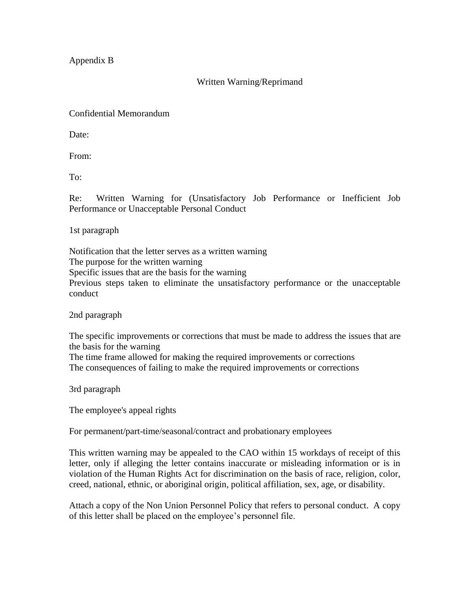Appendix B

Written Warning/Reprimand

Confidential Memorandum

Date:

From:

To:

Re: Written Warning for (Unsatisfactory Job Performance or Inefficient Job Performance or Unacceptable Personal Conduct

1st paragraph

Notification that the letter serves as a written warning The purpose for the written warning Specific issues that are the basis for the warning Previous steps taken to eliminate the unsatisfactory performance or the unacceptable conduct

2nd paragraph

The specific improvements or corrections that must be made to address the issues that are the basis for the warning

The time frame allowed for making the required improvements or corrections The consequences of failing to make the required improvements or corrections

3rd paragraph

The employee's appeal rights

For permanent/part-time/seasonal/contract and probationary employees

This written warning may be appealed to the CAO within 15 workdays of receipt of this letter, only if alleging the letter contains inaccurate or misleading information or is in violation of the Human Rights Act for discrimination on the basis of race, religion, color, creed, national, ethnic, or aboriginal origin, political affiliation, sex, age, or disability.

Attach a copy of the Non Union Personnel Policy that refers to personal conduct. A copy of this letter shall be placed on the employee's personnel file.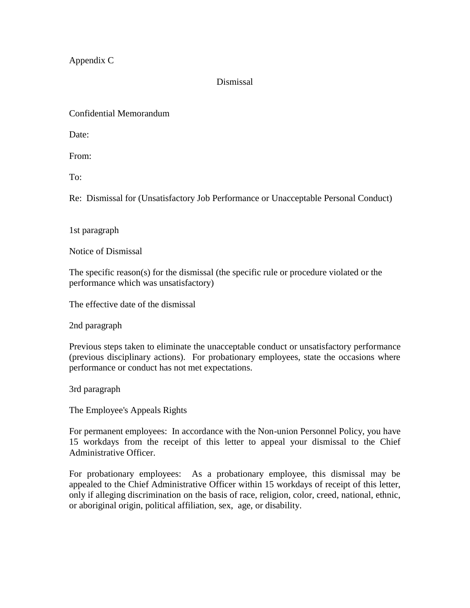Appendix C

# Dismissal

Confidential Memorandum

Date:

From:

To:

Re: Dismissal for (Unsatisfactory Job Performance or Unacceptable Personal Conduct)

1st paragraph

Notice of Dismissal

The specific reason(s) for the dismissal (the specific rule or procedure violated or the performance which was unsatisfactory)

The effective date of the dismissal

2nd paragraph

Previous steps taken to eliminate the unacceptable conduct or unsatisfactory performance (previous disciplinary actions). For probationary employees, state the occasions where performance or conduct has not met expectations.

3rd paragraph

The Employee's Appeals Rights

For permanent employees: In accordance with the Non-union Personnel Policy, you have 15 workdays from the receipt of this letter to appeal your dismissal to the Chief Administrative Officer.

For probationary employees: As a probationary employee, this dismissal may be appealed to the Chief Administrative Officer within 15 workdays of receipt of this letter, only if alleging discrimination on the basis of race, religion, color, creed, national, ethnic, or aboriginal origin, political affiliation, sex, age, or disability.